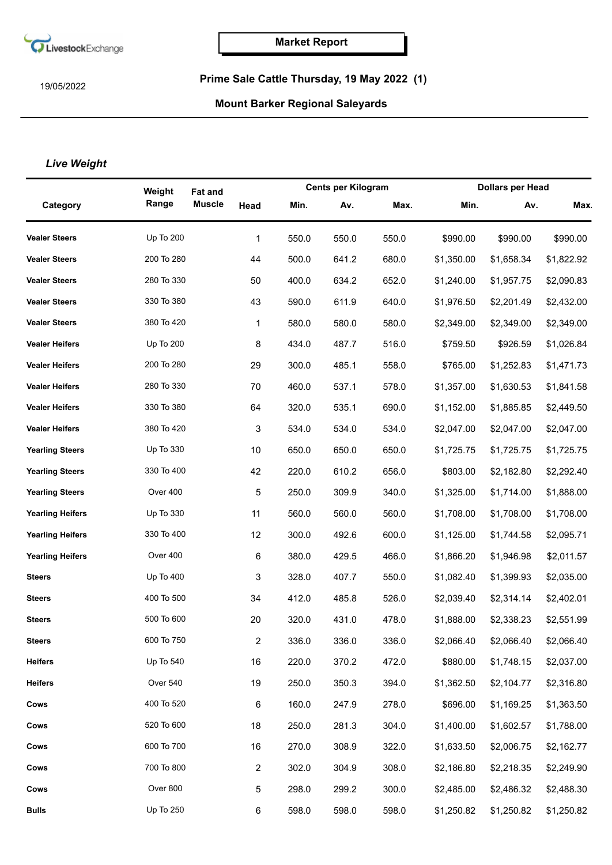

19/05/2022

## **Prime Sale Cattle Thursday, 19 May 2022 (1)**

## **Mount Barker Regional Saleyards**

## *Live Weight*

|                         | Weight           | <b>Fat and</b> |                |       | <b>Cents per Kilogram</b> |       |            | <b>Dollars per Head</b> |            |  |
|-------------------------|------------------|----------------|----------------|-------|---------------------------|-------|------------|-------------------------|------------|--|
| Category                | Range            | <b>Muscle</b>  | Head           | Min.  | Av.                       | Max.  | Min.       | Av.                     | <b>Max</b> |  |
| <b>Vealer Steers</b>    | <b>Up To 200</b> |                | 1              | 550.0 | 550.0                     | 550.0 | \$990.00   | \$990.00                | \$990.00   |  |
| <b>Vealer Steers</b>    | 200 To 280       |                | 44             | 500.0 | 641.2                     | 680.0 | \$1,350.00 | \$1,658.34              | \$1,822.92 |  |
| <b>Vealer Steers</b>    | 280 To 330       |                | 50             | 400.0 | 634.2                     | 652.0 | \$1,240.00 | \$1,957.75              | \$2,090.83 |  |
| <b>Vealer Steers</b>    | 330 To 380       |                | 43             | 590.0 | 611.9                     | 640.0 | \$1,976.50 | \$2,201.49              | \$2,432.00 |  |
| <b>Vealer Steers</b>    | 380 To 420       |                | 1              | 580.0 | 580.0                     | 580.0 | \$2,349.00 | \$2,349.00              | \$2,349.00 |  |
| <b>Vealer Heifers</b>   | Up To 200        |                | 8              | 434.0 | 487.7                     | 516.0 | \$759.50   | \$926.59                | \$1,026.84 |  |
| <b>Vealer Heifers</b>   | 200 To 280       |                | 29             | 300.0 | 485.1                     | 558.0 | \$765.00   | \$1,252.83              | \$1,471.73 |  |
| <b>Vealer Heifers</b>   | 280 To 330       |                | 70             | 460.0 | 537.1                     | 578.0 | \$1,357.00 | \$1,630.53              | \$1,841.58 |  |
| <b>Vealer Heifers</b>   | 330 To 380       |                | 64             | 320.0 | 535.1                     | 690.0 | \$1,152.00 | \$1,885.85              | \$2,449.50 |  |
| <b>Vealer Heifers</b>   | 380 To 420       |                | 3              | 534.0 | 534.0                     | 534.0 | \$2,047.00 | \$2,047.00              | \$2,047.00 |  |
| <b>Yearling Steers</b>  | Up To 330        |                | 10             | 650.0 | 650.0                     | 650.0 | \$1,725.75 | \$1,725.75              | \$1,725.75 |  |
| <b>Yearling Steers</b>  | 330 To 400       |                | 42             | 220.0 | 610.2                     | 656.0 | \$803.00   | \$2,182.80              | \$2,292.40 |  |
| <b>Yearling Steers</b>  | Over 400         |                | 5              | 250.0 | 309.9                     | 340.0 | \$1,325.00 | \$1,714.00              | \$1,888.00 |  |
| <b>Yearling Heifers</b> | Up To 330        |                | 11             | 560.0 | 560.0                     | 560.0 | \$1,708.00 | \$1,708.00              | \$1,708.00 |  |
| <b>Yearling Heifers</b> | 330 To 400       |                | 12             | 300.0 | 492.6                     | 600.0 | \$1,125.00 | \$1,744.58              | \$2,095.71 |  |
| <b>Yearling Heifers</b> | Over 400         |                | 6              | 380.0 | 429.5                     | 466.0 | \$1,866.20 | \$1,946.98              | \$2,011.57 |  |
| <b>Steers</b>           | Up To 400        |                | 3              | 328.0 | 407.7                     | 550.0 | \$1,082.40 | \$1,399.93              | \$2,035.00 |  |
| <b>Steers</b>           | 400 To 500       |                | 34             | 412.0 | 485.8                     | 526.0 | \$2,039.40 | \$2,314.14              | \$2,402.01 |  |
| <b>Steers</b>           | 500 To 600       |                | 20             | 320.0 | 431.0                     | 478.0 | \$1,888.00 | \$2,338.23              | \$2,551.99 |  |
| <b>Steers</b>           | 600 To 750       |                |                | 336.0 | 336.0                     | 336.0 | \$2,066.40 | \$2,066.40              | \$2,066.40 |  |
| <b>Heifers</b>          | Up To 540        |                | 16             | 220.0 | 370.2                     | 472.0 | \$880.00   | \$1,748.15              | \$2,037.00 |  |
| <b>Heifers</b>          | Over 540         |                | 19             | 250.0 | 350.3                     | 394.0 | \$1,362.50 | \$2,104.77              | \$2,316.80 |  |
| Cows                    | 400 To 520       |                | 6              | 160.0 | 247.9                     | 278.0 | \$696.00   | \$1,169.25              | \$1,363.50 |  |
| Cows                    | 520 To 600       |                | 18             | 250.0 | 281.3                     | 304.0 | \$1,400.00 | \$1,602.57              | \$1,788.00 |  |
| Cows                    | 600 To 700       |                | 16             | 270.0 | 308.9                     | 322.0 | \$1,633.50 | \$2,006.75              | \$2,162.77 |  |
| Cows                    | 700 To 800       |                | $\overline{2}$ | 302.0 | 304.9                     | 308.0 | \$2,186.80 | \$2,218.35              | \$2,249.90 |  |
| Cows                    | Over 800         |                | 5              | 298.0 | 299.2                     | 300.0 | \$2,485.00 | \$2,486.32              | \$2,488.30 |  |
| <b>Bulls</b>            | Up To 250        |                | 6              | 598.0 | 598.0                     | 598.0 | \$1,250.82 | \$1,250.82              | \$1,250.82 |  |